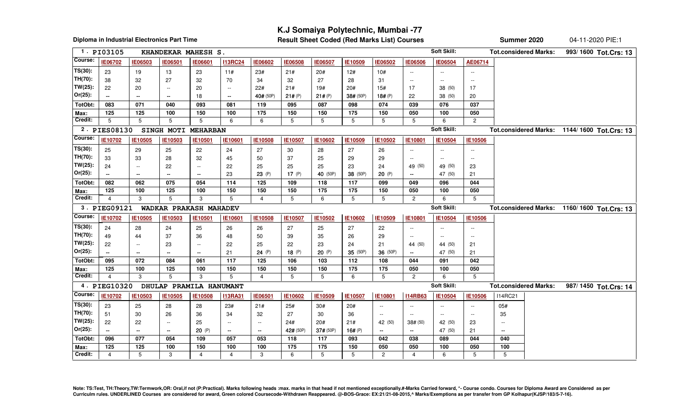## **K.J Somaiya Polytechnic, Mumbai -77**

**Diploma in Industrial Electronics Part Time**

**Result Sheet Coded (Red Marks List) Courses**

**Summer 2020** 04-11-2020 PIE:1

|                       | 1. PI03105               |                             | KHANDEKAR MAHESH S.      |                             |                          |                          |                |                |           |                          |                          | Soft Skill:                                   |                | <b>Tot.considered Marks:</b> | 993/1600 Tot.Crs: 13                        |
|-----------------------|--------------------------|-----------------------------|--------------------------|-----------------------------|--------------------------|--------------------------|----------------|----------------|-----------|--------------------------|--------------------------|-----------------------------------------------|----------------|------------------------------|---------------------------------------------|
| Course:               | <b>IE06702</b>           | IE06503                     | IE06501                  | <b>IE06601</b>              | <b>I13RC24</b>           | <b>IE06602</b>           | <b>IE06508</b> | <b>IE06507</b> | IE10509   | IE06502                  | <b>IE06506</b>           | IE06504                                       | AE06714        |                              |                                             |
| $TS(30)$ :            | 23                       | 19                          | 13                       | 23                          | 11#                      | 23#                      | 21#            | 20#            | 12#       | 10#                      | $\sim$ $\sim$            | $\sim$ $\sim$                                 | $\sim$         |                              |                                             |
| TH(70):               | 38                       | 32                          | 27                       | 32                          | 70                       | 34                       | 32             | 27             | 28        | 31                       | $\sim$ $\sim$            | $\overline{\phantom{a}}$                      | $\sim$         |                              |                                             |
| $TW(25)$ :            | 22                       | 20                          | $\overline{\phantom{a}}$ | 20                          | $\sim$                   | 22#                      | 21#            | 19#            | 20#       | 15#                      | 17                       | 38 (50)                                       | 17             |                              |                                             |
| $Or(25)$ :            | $\overline{\phantom{a}}$ | $\overline{\phantom{a}}$    | $\mathbf{u}$             | 18                          | $\overline{\phantom{a}}$ | 40# (50P)                | 21# (P)        | 21# (P)        | 38# (50P) | 18# (P)                  | 22                       | 38 (50)                                       | 20             |                              |                                             |
| TotObt:               | 083                      | 071                         | 040                      | 093                         | 081                      | 119                      | 095            | 087            | 098       | 074                      | 039                      | 076                                           | 037            |                              |                                             |
| Max:                  | 125                      | 125                         | 100                      | 150                         | 100                      | 175                      | 150            | 150            | 175       | 150                      | 050                      | 100                                           | 050            |                              |                                             |
| Credit:               | 5                        | 5                           | 5                        | 5                           | 6                        | 6                        | 5              | 5              | 5         | 5                        | 5                        | 6                                             | $\overline{2}$ |                              |                                             |
|                       | 2. PIES08130             |                             | SINGH MOTI MEHARBAN      |                             |                          |                          |                |                |           |                          |                          | Soft Skill:                                   |                |                              | Tot.considered Marks: 1144/1600 Tot.Crs: 13 |
| Course:               | IE10702                  | IE10505                     | IE10503                  | <b>IE10501</b>              | IE10601                  | IE10508                  | IE10507        | IE10602        | IE10509   | IE10502                  | <b>IE10801</b>           | IE10504                                       | IE10506        |                              |                                             |
| $TS(30)$ :            | 25                       | 29                          | 25                       | 22                          | 24                       | 27                       | 30             | 28             | 27        | 26                       | $\sim$                   | $\mathord{\hspace{1pt}\text{--}\hspace{1pt}}$ | $\sim$         |                              |                                             |
| TH(70):               | 33                       | 33                          | 28                       | 32                          | 45                       | 50                       | 37             | 25             | 29        | 29                       | $\overline{a}$           | $\sim$ $\sim$                                 | $\sim$         |                              |                                             |
| $TW(25)$ :            | 24                       | $\sim$                      | 22                       | $\sim$ $\sim$               | 22                       | 25                       | 25             | 25             | 23        | 24                       | 49 (50)                  | 49 (50)                                       | 23             |                              |                                             |
| $Or(25)$ :            | $\sim$                   | $\sim$                      | $\sim$                   | $\sim$                      | 23                       | 23 (P)                   | 17 $(P)$       | 40 (50P)       | 38 (50P)  | 20(P)                    | $\sim$                   | 47 (50)                                       | 21             |                              |                                             |
| TotObt:               | 082                      | 062                         | 075                      | 054                         | 114                      | 125                      | 109            | 118            | 117       | 099                      | 049                      | 096                                           | 044            |                              |                                             |
| Max:                  | 125                      | 100                         | 125                      | 100                         | 150                      | 150                      | 150            | 175            | 175       | 150                      | 050                      | 100                                           | 050            |                              |                                             |
| Credit:               | 4                        | 3                           | 5                        | 3                           | 5                        | 4                        | 5              | 6              | 5         | 5                        | $\overline{c}$           | 6                                             | 5              |                              |                                             |
|                       |                          |                             |                          |                             |                          |                          |                |                |           |                          |                          |                                               |                |                              |                                             |
|                       | 3. PIEG09121             |                             | WADKAR PRAKASH MAHADEV   |                             |                          |                          |                |                |           |                          |                          | Soft Skill:                                   |                |                              | Tot.considered Marks: 1160/1600 Tot.Crs: 13 |
| Course:               | IE10702                  | IE10505                     | IE10503                  | IE10501                     | IE10601                  | IE10508                  | IE10507        | IE10502        | IE10602   | IE10509                  | IE10801                  | IE10504                                       | IE10506        |                              |                                             |
| $TS(30)$ :            |                          |                             |                          |                             |                          |                          |                |                | 27        |                          | $\sim$ $\sim$            | $\sim$ $\sim$                                 | $\sim$         |                              |                                             |
| TH(70):               | 24<br>49                 | 28<br>44                    | 24<br>37                 | 25<br>36                    | 26<br>48                 | 26<br>50                 | 27<br>39       | 25<br>35       | 26        | 22<br>29                 | $\overline{a}$           | $\overline{\phantom{a}}$                      | $\sim$         |                              |                                             |
| $TW(25)$ :            | 22                       | $\mathcal{L}_{\mathcal{F}}$ | 23                       | $\mathcal{L}_{\mathcal{F}}$ | 22                       | 25                       | 22             | 23             | 24        | 21                       | 44 (50)                  | 44 (50)                                       | 21             |                              |                                             |
| $Or(25)$ :            |                          | $\sim$                      | $\sim$                   | $\sim$                      | 21                       | 24 (P)                   | 18 $(P)$       | 20(P)          | 35 (50P)  | 36 (50P)                 | $\sim$                   | 47 (50)                                       | 21             |                              |                                             |
| TotObt:               | 095                      | 072                         | 084                      | 061                         | 117                      | 125                      | 106            | 103            | 112       | 108                      | 044                      | 091                                           | 042            |                              |                                             |
| Max:                  | 125                      | 100                         | 125                      | 100                         | 150                      | 150                      | 150            | 150            | 175       | 175                      | 050                      | 100                                           | 050            |                              |                                             |
| Credit:               | 4                        | 3                           | 5                        | 3                           | 5                        | $\overline{4}$           | 5              | 5              | 6         | 5                        | 2                        | 6                                             | 5              |                              |                                             |
|                       | 4. PIEG10320             |                             | DHULAP PRAMILA HANUMANT  |                             |                          |                          |                |                |           |                          |                          | Soft Skill:                                   |                | <b>Tot.considered Marks:</b> |                                             |
| Course:               | IE10702                  | IE10503                     | IE10505                  | IE10508                     | <b>I13RA31</b>           | IE06501                  | IE10602        | IE10509        | IE10507   | IE10801                  | <b>I14RB63</b>           | IE10504                                       | IE10506        | <b>I14RC21</b>               | 987/1450 Tot.Crs: 14                        |
|                       |                          |                             |                          |                             |                          |                          |                |                |           | --                       | $\overline{a}$           | $\overline{\phantom{a}}$                      | $\sim$         |                              |                                             |
| $TS(30)$ :<br>TH(70): | 23<br>51                 | 25<br>30                    | 28<br>26                 | 28<br>36                    | 23#<br>34                | 21#<br>32                | 25#<br>27      | 30#<br>30      | 20#<br>36 | $\overline{\phantom{a}}$ | $\sim$                   | $\overline{\phantom{a}}$                      | $\sim$         | 05#<br>35                    |                                             |
| $TW(25)$ :            | 22                       | 22                          | $\sim$                   | 25                          | $\sim$                   | $\overline{\phantom{a}}$ | 24#            | 20#            | 21#       | 42 (50)                  | 38# (50)                 | 42 (50)                                       | 23             | $\overline{a}$               |                                             |
| $Or(25)$ :            | $\sim$                   | --                          | $\sim$                   | 20(P)                       | $\sim$                   | $\sim$                   | 42# (50P)      | 37# (50P)      | 16# $(P)$ | $\overline{\phantom{a}}$ | $\overline{\phantom{a}}$ | 47 (50)                                       | 21             | $\sim$                       |                                             |
| TotObt:               | 096                      | 077                         | 054                      | 109                         | 057                      | 053                      | 118            | 117            | 093       | 042                      | 038                      | 089                                           | 044            | 040                          |                                             |
| Max:                  | 125                      | 125                         | 100                      | 150                         | 100                      | 100                      | 175            | 175            | 150       | 050                      | 050                      | 100                                           | 050            | 100                          |                                             |

Note: TS:Test, TH:Theory,TW:Termwork,OR: Oral,if not (P:Practical). Marks following heads :max. marks in that head if not mentioned exceptionally.#-Marks Carried forward, \*- Course condo. Courses for Diploma Award are Cons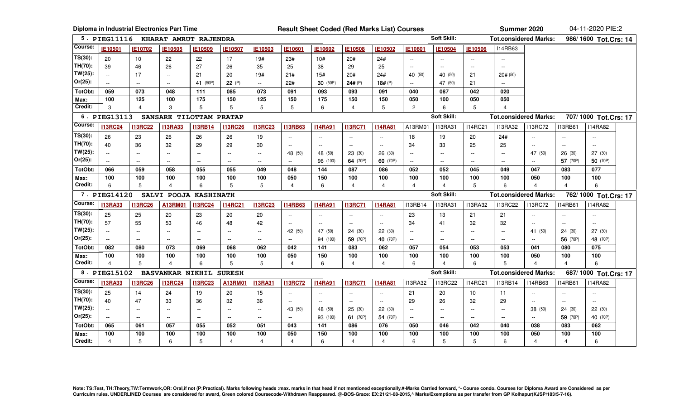|            |                          |                          | Diploma in Industrial Electronics Part Time |                          |                          |                          | <b>Result Sheet Coded (Red Marks List) Courses</b> |                |                |                | Summer 2020      |                    |                | 04-11-2020 PIE:2             |                         |                |                      |  |  |
|------------|--------------------------|--------------------------|---------------------------------------------|--------------------------|--------------------------|--------------------------|----------------------------------------------------|----------------|----------------|----------------|------------------|--------------------|----------------|------------------------------|-------------------------|----------------|----------------------|--|--|
|            | 5. PIEG11116             |                          | KHARAT AMRUT RAJENDRA                       |                          |                          |                          |                                                    |                |                |                |                  | Soft Skill:        |                | <b>Tot.considered Marks:</b> |                         |                | 986/1600 Tot.Crs: 14 |  |  |
| Course:    | IE10501                  | IE10702                  | IE10505                                     | IE10509                  | IE10507                  | IE10503                  | IE10601                                            | IE10602        | IE10508        | IE10502        | IE10801          | IE10504            | IE10506        | <b>I14RB63</b>               |                         |                |                      |  |  |
| $TS(30)$ : | 20                       | 10                       | 22                                          | 22                       | 17                       | 19#                      | 23#                                                | 10#            | 20#            | 24#            | $\sim$ $\sim$    | $\sim$             | $\sim$ $\sim$  |                              |                         |                |                      |  |  |
| TH(70):    | 39                       | 46                       | 26                                          | 27                       | 26                       | 35                       | 25                                                 | 38             | 29             | 25             | $\sim$           | $\sim$             | $\sim$         | $\sim$ $\sim$                |                         |                |                      |  |  |
| $TW(25)$ : | $\overline{\phantom{a}}$ | 17                       | $\overline{\phantom{a}}$                    | 21                       | 20                       | 19#                      | 21#                                                | 15#            | 20#            | 24#            | 40 (50)          | 40 (50)            | 21             | 20# (50)                     |                         |                |                      |  |  |
| $Or(25)$ : | --                       | $\overline{\phantom{a}}$ | $\overline{\phantom{a}}$                    | 41 (50P)                 | 22 (P)                   | $\sim$                   | 22#                                                | 30 (50P)       | 24# (P)        | 18# (P)        | $\sim$           | 47 (50)            | 21             | Щ.                           |                         |                |                      |  |  |
| TotObt:    | 059                      | 073                      | 048                                         | 111                      | 085                      | 073                      | 091                                                | 093            | 093            | 091            | 040              | 087                | 042            | 020                          |                         |                |                      |  |  |
| Max:       | 100                      | 125                      | 100                                         | 175                      | 150                      | 125                      | 150                                                | 175            | 150            | 150            | 050              | 100                | 050            | 050                          |                         |                |                      |  |  |
| Credit:    | 3                        | $\overline{4}$           | 3                                           | 5                        | 5                        | 5                        | 5                                                  | 6              | $\overline{4}$ | 5              | $\overline{2}$   | 6                  | 5              | $\overline{4}$               |                         |                |                      |  |  |
|            | 6. PIEG13113             |                          | SANSARE TILOTTAM PRATAP                     |                          |                          |                          |                                                    |                |                |                |                  | <b>Soft Skill:</b> |                | <b>Tot.considered Marks:</b> |                         |                | 707/1000 Tot.Crs: 17 |  |  |
| Course:    | <b>I13RC24</b>           | <b>I13RC22</b>           | <b>I13RA33</b>                              | <b>I13RB14</b>           | <b>I13RC26</b>           | <b>I13RC23</b>           | <b>I13RB63</b>                                     | <b>I14RA91</b> | <b>I13RC71</b> | <b>I14RA81</b> | A13RM01          | <b>I13RA31</b>     | <b>I14RC21</b> | <b>I13RA32</b>               | <b>I13RC72</b>          | <b>I13RB61</b> | <b>I14RA82</b>       |  |  |
| $TS(30)$ : | 26                       | 23                       | 26                                          | 26                       | 26                       | 19                       | $\sim$                                             | $\sim$         | $\sim$         | $\sim$         | 18               | 19                 | 20             | 24#                          |                         |                | $-$                  |  |  |
| TH(70):    | 40                       | 36                       | 32                                          | 29                       | 29                       | 30                       | $\sim$ $\sim$                                      | $\sim$         | $\sim$         | $\overline{a}$ | 34               | 33                 | 25             | 25                           | $\sim$ $\sim$           | $\sim$ $\sim$  | $\overline{a}$       |  |  |
| $TW(25)$ : | $\sim$ $\sim$            | --                       | $\overline{a}$                              | $\overline{\phantom{a}}$ | $\overline{\phantom{a}}$ | $\mathbf{L}$             | 48 (50)                                            | 48 (50)        | 23 (30)        | 26 (30)        | $\sim$           | $\sim$             | $\sim$         | $\sim$                       | 47 (50)                 | 26(30)         | 27 (30)              |  |  |
| Or(25):    | $\overline{\phantom{a}}$ | $\overline{\phantom{a}}$ | $\overline{a}$                              | $\overline{a}$           | $\sim$                   | $\mathbf{m}$             | $\sim$                                             | 96 (100)       | 64 (70P)       | 60 (70P)       | $\bullet\bullet$ | $\sim$             | $\mathbf{m}$   | $\sim$                       | $\sim$                  | 57 (70P)       | 50 (70P)             |  |  |
| TotObt:    | 066                      | 059                      | 058                                         | 055                      | 055                      | 049                      | 048                                                | 144            | 087            | 086            | 052              | 052                | 045            | 049                          | 047                     | 083            | 077                  |  |  |
| Max:       | 100                      | 100                      | 100                                         | 100                      | 100                      | 100                      | 050                                                | 150            | 100            | 100            | 100              | 100                | 100            | 100                          | 050                     | 100            | 100                  |  |  |
| Credit:    | 6                        | 5                        | $\overline{4}$                              | 6                        | 5                        | 5                        | $\overline{4}$                                     | 6              | $\overline{4}$ | $\overline{4}$ | $\overline{4}$   | $\overline{4}$     | 5              | 6                            | $\overline{\mathbf{A}}$ | $\overline{4}$ | 6                    |  |  |
|            | 7. PIEG14120             |                          | SALVI POOJA KASHINATH                       |                          |                          |                          |                                                    |                |                |                |                  | Soft Skill:        |                | <b>Tot.considered Marks:</b> |                         |                | 762/1000 Tot.Crs: 17 |  |  |
| Course:    | <b>I13RA33</b>           | <b>I13RC26</b>           | A13RM01                                     | <b>I13RC24</b>           | <b>I14RC21</b>           | <b>I13RC23</b>           | <b>I14RB63</b>                                     | <b>I14RA91</b> | <b>I13RC71</b> | <b>I14RA81</b> | <b>I13RB14</b>   | <b>I13RA31</b>     | <b>I13RA32</b> | <b>I13RC22</b>               | <b>I13RC72</b>          | <b>I14RB61</b> | <b>I14RA82</b>       |  |  |
| $TS(30)$ : | 25                       | 25                       | 20                                          | 23                       | 20                       | 20                       | $\sim$ $\sim$                                      | $\sim$ $\sim$  | $\sim$ $\sim$  | $\sim$         | 23               | 13                 | 21             | 21                           | $-$                     | $\sim$         | $\sim$ $\sim$        |  |  |
| TH(70):    | 57                       | 55                       | 53                                          | 46                       | 48                       | 42                       | $\sim$ $\sim$                                      | $\sim$ $\sim$  | $\sim$ $\sim$  | $\sim$         | 34               | 41                 | 32             | 32                           | $\sim$ $\sim$           | $\sim$ $\sim$  | $\sim$               |  |  |
| $TW(25)$ : | $\sim$ $\sim$            | $-$                      | $\overline{a}$                              | $\overline{\phantom{a}}$ | $\overline{\phantom{a}}$ | $\overline{\phantom{a}}$ | 42 (50)                                            | 47 (50)        | 24 (30)        | 22 (30)        | $\sim$           | $\sim$ $\sim$      | $\sim$         | $\sim$ $\sim$                | 41 (50)                 | 24 (30)        | 27 (30)              |  |  |
| $Or(25)$ : | $\sim$                   | $\sim$                   | $\sim$                                      | $\sim$                   | $\sim$                   | $\sim$                   | $\sim$                                             | 94 (100)       | 59 (70P)       | 40 (70P)       | $\sim$           | $\sim$             | $\sim$         | $\sim$                       | $\sim$                  | 56 (70P)       | 48 (70P)             |  |  |
| TotObt:    | 082                      | 080                      | 073                                         | 069                      | 068                      | 062                      | 042                                                | 141            | 083            | 062            | 057              | 054                | 053            | 053                          | 041                     | 080            | 075                  |  |  |
| Max:       | 100                      | 100                      | 100                                         | 100                      | 100                      | 100                      | 050                                                | 150            | 100            | 100            | 100              | 100                | 100            | 100                          | 050                     | 100            | 100                  |  |  |
| Credit:    | $\overline{4}$           | 5                        | $\overline{\mathbf{A}}$                     | 6                        | 5                        | 5                        | $\overline{4}$                                     | 6              | $\overline{4}$ | $\overline{4}$ | 6                | $\overline{4}$     | 6              | 5                            | $\overline{4}$          | 4              | 6                    |  |  |
|            | 8. PIEG15102             |                          | <b>BASVANKAR NIKHIL</b>                     |                          | <b>SURESH</b>            |                          |                                                    |                |                |                |                  | <b>Soft Skill:</b> |                | <b>Tot.considered Marks:</b> |                         |                | 687/1000 Tot.Crs: 17 |  |  |
| Course:    | <b>I13RA33</b>           | <b>I13RC26</b>           | <b>I13RC24</b>                              | <b>I13RC23</b>           | A13RM01                  | <b>I13RA31</b>           | <b>I13RC72</b>                                     | <b>I14RA91</b> | <b>I13RC71</b> | <b>I14RA81</b> | <b>I13RA32</b>   | <b>I13RC22</b>     | <b>I14RC21</b> | <b>I13RB14</b>               | 114RB63                 | <b>I14RB61</b> | <b>I14RA82</b>       |  |  |
| $TS(30)$ : | 25                       | 14                       | 24                                          | 19                       | 20                       | 15                       | $\overline{\phantom{a}}$                           | $\sim$         | $\sim$         | $\sim$         | 21               | 20                 | 10             | 11                           | $\sim$ $\sim$           | $\sim$ $\sim$  | $\mathbf{L}$         |  |  |
| TH(70):    | 40                       | 47                       | 33                                          | 36                       | 32                       | 36                       | $\sim$ $\sim$                                      | $\sim$         | $\sim$         | $\sim$         | 29               | 26                 | 32             | 29                           | $\sim$ $\sim$           | $\sim$ $\sim$  | $\overline{a}$       |  |  |
| $TW(25)$ : | $\overline{\phantom{a}}$ | $-$                      | $\overline{a}$                              | $\overline{\phantom{a}}$ | $\overline{a}$           | $\overline{a}$           | 43 (50)                                            | 48 (50)        | 25(30)         | 22 (30)        | $\overline{a}$   | $\sim$ $\sim$      | $\sim$ $\sim$  | $\overline{a}$               | 38 (50)                 | 24 (30)        | 22(30)               |  |  |
| Or(25):    | $\overline{\phantom{a}}$ | --                       | $\overline{\phantom{a}}$                    | $\overline{\phantom{a}}$ | $\overline{\phantom{a}}$ | $\overline{\phantom{a}}$ | $\sim$                                             | 93 (100)       | 61 (70P)       | 54 (70P)       | $\sim$           | $\sim$             | $\sim$         | $\sim$                       | $\sim$                  | 59 (70P)       | 40 (70P)             |  |  |
| TotObt:    | 065                      | 061                      | 057                                         | 055                      | 052                      | 051                      | 043                                                | 141            | 086            | 076            | 050              | 046                | 042            | 040                          | 038                     | 083            | 062                  |  |  |
| Max:       | 100                      | 100                      | 100                                         | 100                      | 100                      | 100                      | 050                                                | 150            | 100            | 100            | 100              | 100                | 100            | 100                          | 050                     | 100            | 100                  |  |  |
| Credit:    | 4                        | 5                        | 6                                           | 5                        | 4                        | $\overline{4}$           | 4                                                  | 6              | $\overline{4}$ | 4              | 6                | 5                  | 5              | 6                            | 4                       | $\overline{4}$ | 6                    |  |  |

Note: TS:Test, TH:Theory,TW:Termwork,OR: Oral,if not (P:Practical). Marks following heads :max. marks in that head if not mentioned exceptionally.#-Marks Carried forward, \*- Course condo. Courses for Diploma Award are Cons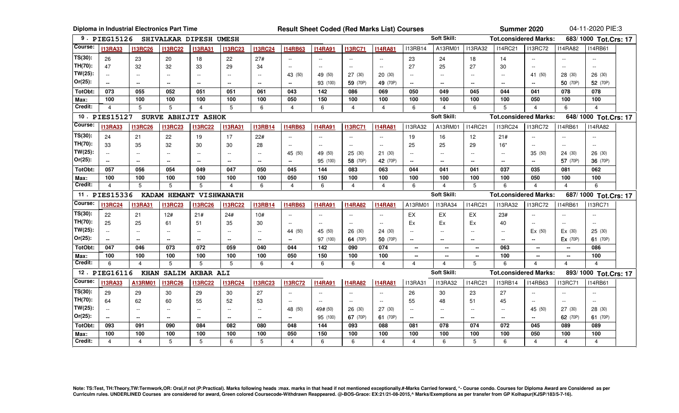|                 |                       | Diploma in Industrial Electronics Part Time |                          |                          |                          | <b>Result Sheet Coded (Red Marks List) Courses</b> |                          |                |                |                          |                                |                    |                          |                          | Summer 2020                  |                       | 04-11-2020 PIE:3      |  |
|-----------------|-----------------------|---------------------------------------------|--------------------------|--------------------------|--------------------------|----------------------------------------------------|--------------------------|----------------|----------------|--------------------------|--------------------------------|--------------------|--------------------------|--------------------------|------------------------------|-----------------------|-----------------------|--|
|                 | 9. PIEG15126          |                                             |                          | SHIVALKAR DIPESH UMESH   |                          |                                                    |                          |                |                |                          |                                | Soft Skill:        |                          |                          | <b>Tot.considered Marks:</b> |                       | 683/1000 Tot.Crs: 17  |  |
| Course:         | <b>I13RA33</b>        | <b>I13RC26</b>                              | <b>I13RC22</b>           | <b>I13RA31</b>           | <b>I13RC23</b>           | <b>I13RC24</b>                                     | <b>I14RB63</b>           | <b>I14RA91</b> | <b>I13RC71</b> | <b>I14RA81</b>           | <b>I13RB14</b>                 | A13RM01            | <b>I13RA32</b>           | <b>I14RC21</b>           | <b>I13RC72</b>               | <b>I14RA82</b>        | <b>I14RB61</b>        |  |
| $TS(30)$ :      | 26                    | 23                                          | 20                       | 18                       | 22                       | 27#                                                | $\sim$ $\sim$            | $\sim$ $\sim$  | $\sim$ $\sim$  | $\sim$ $\sim$            | 23                             | 24                 | 18                       | 14                       | $\sim$ $\sim$                | $\sim$ $\sim$         | $\sim$ $\sim$         |  |
| TH(70):         | 47                    | 32                                          | 32                       | 33                       | 29                       | 34                                                 | $\sim$                   | $\sim$         | $\sim$         | $\overline{a}$           | 27                             | 25                 | 27                       | 30                       | $\sim$                       | $\sim$                | $\sim$ $\sim$         |  |
| $TW(25)$ :      | $\sim$                | $\overline{\phantom{a}}$                    | $\overline{a}$           | $\overline{\phantom{a}}$ | $\sim$                   | $\sim$                                             | 43 (50)                  | 49 (50)        | 27(30)         | 20 (30)                  | $-$                            | $\sim$ $\sim$      | $\sim$ $\sim$            | $\sim$                   | 41 (50)                      | 28 (30)               | 26 (30)               |  |
| $Or(25)$ :      | $\sim$                | $\overline{\phantom{a}}$                    | $\overline{\phantom{a}}$ | $\overline{\phantom{a}}$ | $\sim$                   | $\sim$                                             | $\overline{\phantom{a}}$ | 93 (100)       | 59 (70P)       | 49 (70P)                 | $\rightarrow$                  |                    | $\overline{\phantom{a}}$ |                          | $\sim$                       | 50 (70P)              | 52 (70P)              |  |
| TotObt:         | 073                   | 055                                         | 052                      | 051                      | 051                      | 061                                                | 043                      | 142            | 086            | 069                      | 050                            | 049                | 045                      | 044                      | 041                          | 078                   | 078                   |  |
| Max:            | 100                   | 100                                         | 100                      | 100                      | 100                      | 100                                                | 050                      | 150            | 100            | 100                      | 100                            | 100                | 100                      | 100                      | 050                          | 100                   | 100                   |  |
| Credit:         | $\overline{4}$        | 5                                           | 5                        | $\overline{4}$           | 5                        | 6                                                  | $\overline{4}$           | 6              | $\overline{4}$ | $\overline{4}$           | 6                              | $\overline{4}$     | 6                        | 5                        | $\overline{4}$               | 6                     | $\overline{4}$        |  |
|                 | 10. PIES15127         |                                             |                          | SURVE ABHIJIT ASHOK      |                          |                                                    |                          |                |                |                          |                                | <b>Soft Skill:</b> |                          |                          | <b>Tot.considered Marks:</b> | 648/1000 Tot.Crs: 17  |                       |  |
| Course:         | <b>I13RA33</b>        | <b>I13RC26</b>                              | <b>I13RC23</b>           | <b>I13RC22</b>           | <b>I13RA31</b>           | <b>I13RB14</b>                                     | <b>I14RB63</b>           | <b>I14RA91</b> | <b>I13RC71</b> | <b>I14RA81</b>           | <b>I13RA32</b>                 | A13RM01            | <b>I14RC21</b>           | <b>I13RC24</b>           | <b>I13RC72</b>               | <b>I14RB61</b>        | <b>I14RA82</b>        |  |
| $TS(30)$ :      | 24                    | 21                                          | 22                       | 19                       | 17                       | 22#                                                | $\sim$ $\sim$            | $\sim$ $\sim$  | $\sim$ $\sim$  | $\sim$ $\sim$            | 19                             | 16                 | 12                       | 21#                      |                              | $\sim$ $\sim$         | $\sim$ $\sim$         |  |
| TH(70):         | 33                    | 35                                          | 32                       | 30                       | 30                       | 28                                                 | $\overline{a}$           | $\sim$         | $\sim$         | $\sim$                   | 25                             | 25                 | 29                       | $16*$                    | $\sim$                       | $\sim$                | $\overline{a}$        |  |
| $TW(25)$ :      | $\sim$ $\sim$         | $\sim$ $\sim$                               | $-$                      | $\sim$                   | $\sim$ $\sim$            | $\sim$ $\sim$                                      | 45 (50)                  | 49 (50)        | 25(30)         | 21(30)                   | $\sim$                         | $\sim$ $\sim$      | $\sim$ $\sim$            | $\overline{a}$           | 35 (50)                      | 24 (30)               | 26 (30)               |  |
| $Or(25)$ :      |                       | $\overline{\phantom{a}}$                    | $\overline{a}$           | $\overline{\phantom{a}}$ | $\overline{\phantom{a}}$ | $\sim$                                             | $\overline{\phantom{a}}$ | 95 (100)       | 58 (70P)       | 42 (70P)                 | $\rightarrow$                  | $\overline{a}$     | $\sim$                   | $\overline{\phantom{a}}$ | $\overline{\phantom{a}}$     | 57 (70P)              | 36 (70P)              |  |
| TotObt:         | 057                   | 056                                         | 054                      | 049                      | 047                      | 050                                                | 045                      | 144            | 083            | 063                      | 044                            | 041                | 041                      | 037                      | 035                          | 081                   | 062                   |  |
| Max:            | 100                   | 100                                         | 100                      | 100                      | 100                      | 100                                                | 050                      | 150            | 100            | 100                      | 100                            | 100                | 100                      | 100                      | 050                          | 100                   | 100                   |  |
|                 |                       |                                             |                          |                          |                          |                                                    |                          |                |                |                          |                                |                    |                          |                          |                              |                       |                       |  |
| Credit:         | $\overline{4}$        | 5                                           | 5                        | 5                        | $\overline{4}$           | 6                                                  | $\overline{4}$           | 6              | $\overline{4}$ | $\overline{4}$           | 6                              | $\overline{4}$     | 5                        | 6                        | $\overline{4}$               | $\overline{4}$        | 6                     |  |
|                 | 11. PIES15336         |                                             |                          | KADAM HEMANT VISHWANATH  |                          |                                                    |                          |                |                |                          |                                | Soft Skill:        |                          |                          | <b>Tot.considered Marks:</b> |                       | 687/1000 Tot.Crs: 17  |  |
| Course:         | <b>I13RC24</b>        | <b>I13RA31</b>                              | <b>I13RC23</b>           | <b>I13RC26</b>           | <b>I13RC22</b>           | <b>I13RB14</b>                                     | <b>I14RB63</b>           | <b>I14RA91</b> | <b>I14RA82</b> | <b>I14RA81</b>           | A13RM01                        | <b>113RA34</b>     | <b>I14RC21</b>           | <b>I13RA32</b>           | <b>I13RC72</b>               | <b>I14RB61</b>        | <b>I13RC71</b>        |  |
| $TS(30)$ :      | 22                    | 21                                          | 12#                      | 21#                      | 24#                      | 10#                                                | $\overline{\phantom{a}}$ | $\sim$ $\sim$  | $\sim$ $\sim$  | $\sim$ $\sim$            | EX                             | EX                 | EX                       | 23#                      | $\overline{\phantom{a}}$     | $\sim$ $\sim$         | $\sim$ $\sim$         |  |
| TH(70):         | 25                    | 25                                          | 61                       | 51                       | 35                       | 30                                                 | $\sim$                   | $\sim$         | $\sim$ $\sim$  | $\overline{a}$           | Ex                             | Ex                 | Ex                       | 40                       | $\sim$                       | $\sim$                | $\overline{a}$        |  |
| $TW(25)$ :      | $\sim$ $\sim$         | $\overline{\phantom{a}}$                    | $\overline{a}$           | $\overline{a}$           | $\sim$                   | $\sim$                                             | 44 (50)                  | 45 (50)        | 26(30)         | 24 (30)                  | $\overline{a}$                 | $\sim$ $\sim$      | $\sim$ $\sim$            | $\overline{a}$           | Ex(50)                       | Ex(30)                | 25(30)                |  |
| $Or(25)$ :      | $\sim$                | $\overline{\phantom{a}}$                    | $\overline{\phantom{a}}$ | $\overline{\phantom{a}}$ | $\sim$                   | $\sim$                                             | $\sim$                   | 97 (100)       | 64 (70P)       | 50 (70P)                 | $\rightarrow$                  | $\overline{a}$     | $\sim$                   |                          | $\overline{\phantom{a}}$     | Ex (70P)              | 61 (70P)              |  |
| TotObt:         | 047                   | 046                                         | 073                      | 072                      | 059                      | 040                                                | 044                      | 142            | 090            | 074                      | $\overline{\phantom{a}}$       | $\sim$             | $\mathbf{u}$             | 063                      | $\mathbf{u}$                 | $\overline{a}$        | 086                   |  |
| Max:            | 100                   | 100                                         | 100                      | 100                      | 100                      | 100                                                | 050                      | 150            | 100            | 100                      | $\overline{\phantom{a}}$       | --                 | --                       | 100                      | -−                           | −−                    | 100                   |  |
| Credit:         | 6                     | 4                                           | 5                        | 5                        | 5                        | 6                                                  | $\overline{4}$           | 6              | 6              | 4                        | 4                              | 4                  | 5                        | 6                        | $\overline{4}$               | $\overline{4}$        | $\boldsymbol{\Delta}$ |  |
| 12.             | <b>PIEG16116</b>      | <b>KHAN</b>                                 |                          | SALIM AKBAR ALI          |                          |                                                    |                          |                |                |                          |                                | Soft Skill:        |                          |                          | <b>Tot.considered Marks:</b> |                       | 893/1000 Tot.Crs: 17  |  |
| Course:         | <b>I13RA33</b>        | A13RM01                                     | <b>I13RC26</b>           | <b>I13RC22</b>           | <b>I13RC24</b>           | <b>I13RC23</b>                                     | <b>I13RC72</b>           | <b>I14RA91</b> | <b>I14RA82</b> | <b>I14RA81</b>           | <b>I13RA31</b>                 | <b>I13RA32</b>     | <b>I14RC21</b>           | <b>I13RB14</b>           | <b>I14RB63</b>               | <b>I13RC71</b>        | <b>I14RB61</b>        |  |
| $TS(30)$ :      | 29                    | 29                                          | 30                       | 29                       | 30                       | 27                                                 | $\sim$                   | $\sim$         | $\sim$ $\sim$  | $-$                      | 26                             | 30                 | 23                       | 27                       | $\sim$                       | $\sim$ $\sim$         | $\overline{a}$        |  |
| TH(70):         | 64                    | 62                                          | 60                       | 55                       | 52                       | 53                                                 | $\sim$                   | $\sim$         | $\sim$         | $\overline{\phantom{a}}$ | 55                             | 48                 | 51                       | 45                       | $\sim$                       | $\sim$ $\sim$         | $\sim$                |  |
| $TW(25)$ :      | $-$                   | $\overline{\phantom{a}}$                    | $\sim$ $\sim$            | $\overline{a}$           | $\overline{a}$           | $\sim$ $\sim$                                      | 48 (50)                  | 49# (50)       | 26 (30)        | 27 (30)                  | $\sim$                         | $\sim$ $\sim$      | $\sim$                   | $\overline{a}$           | 45 (50)                      | 27 (30)               | 28 (30)               |  |
| Or(25):         |                       | $\overline{\phantom{a}}$                    | $\rightarrow$            | $\rightarrow$            | $\overline{\phantom{a}}$ | $\rightarrow$                                      | $\sim$                   | 95 (100)       | 67 (70P)       | 61 (70P)                 | $\overline{\phantom{a}}$       | $\overline{a}$     | $\sim$                   | $\overline{a}$           | $\sim$                       | 62 (70P)              | 61 (70P)              |  |
| TotObt:         | 093                   | 091                                         | 090                      | 084                      | 082                      | 080                                                | 048                      | 144            | 093            | 088                      | 081                            | 078                | 074                      | 072                      | 045                          | 089                   | 089                   |  |
| Max:<br>Credit: | 100<br>$\overline{4}$ | 100<br>$\overline{4}$                       | 100<br>5                 | 100<br>5                 | 100<br>6                 | 100<br>5                                           | 050<br>$\overline{4}$    | 150<br>6       | 100<br>6       | 100<br>$\overline{4}$    | 100<br>$\overline{\mathbf{4}}$ | 100<br>6           | 100<br>5                 | 100<br>6                 | 050<br>$\overline{4}$        | 100<br>$\overline{4}$ | 100<br>$\overline{4}$ |  |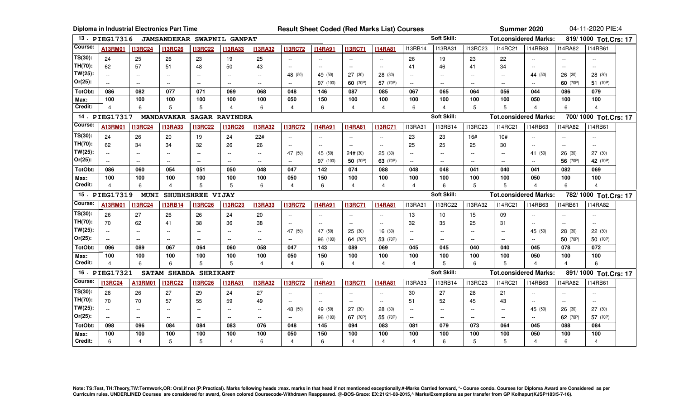|                                                                                                                   | Diploma in Industrial Electronics Part Time |                |                          |                          |                            |                          |                                               | <b>Result Sheet Coded (Red Marks List) Courses</b> |                |                |                          |                          | Summer 2020                                          |                          | 04-11-2020 PIE:4             |                |                          |  |  |
|-------------------------------------------------------------------------------------------------------------------|---------------------------------------------|----------------|--------------------------|--------------------------|----------------------------|--------------------------|-----------------------------------------------|----------------------------------------------------|----------------|----------------|--------------------------|--------------------------|------------------------------------------------------|--------------------------|------------------------------|----------------|--------------------------|--|--|
|                                                                                                                   | 13 DIEG17316                                |                |                          |                          | JAMSANDEKAR SWAPNIL GANPAT |                          | Soft Skill:                                   |                                                    |                |                |                          |                          |                                                      |                          | <b>Tot.considered Marks:</b> |                | 819/1000 Tot.Crs: 17     |  |  |
| Course:                                                                                                           | A13RM01                                     | <b>I13RC24</b> | <b>I13RC26</b>           | <b>I13RC22</b>           | <b>I13RA33</b>             | <b>I13RA32</b>           | <b>I13RC72</b>                                | <b>I14RA91</b>                                     | <b>I13RC71</b> | <b>I14RA81</b> | <b>I13RB14</b>           | <b>I13RA31</b>           | <b>I13RC23</b>                                       | <b>I14RC21</b>           | <b>I14RB63</b>               | <b>I14RA82</b> | <b>I14RB61</b>           |  |  |
| $TS(30)$ :                                                                                                        | 24                                          | 25             | 26                       | 23                       | 19                         | 25                       | Ξ.                                            |                                                    |                |                | 26                       | 19                       | 23                                                   | 22                       |                              |                |                          |  |  |
| TH(70):                                                                                                           | 62                                          | 57             | 51                       | 48                       | 50                         | 43                       | $\sim$ $\sim$                                 | $\overline{a}$                                     | $\sim$         | $\sim$         | 41                       | 46                       | 41                                                   | 34                       | $\sim$ $\sim$                | $\sim$         | $\sim$                   |  |  |
| $TW(25)$ :                                                                                                        | $\sim$ $\sim$                               |                |                          | $\overline{a}$           | $\sim$ $\sim$              | $\overline{a}$           | 48 (50)                                       | 49 (50)                                            | 27(30)         | 28 (30)        | $\sim$ $\sim$            |                          |                                                      | $\overline{a}$           | 44 (50)                      | 26(30)         | 28 (30)                  |  |  |
| $Or(25)$ :                                                                                                        | $\sim$                                      | $\sim$         | $\sim$                   | $\sim$                   | $\sim$                     | $\sim$                   | $\sim$                                        | 97 (100)                                           | 60 (70P)       | 57 (70P)       | $\sim$                   | $\sim$ $\sim$            | $\sim$ $\sim$                                        | $\sim$                   | $\overline{a}$               | 60 (70P)       | 51 (70P)                 |  |  |
| TotObt:                                                                                                           | 086                                         | 082            | 077                      | 071                      | 069                        | 068                      | 048                                           | 146                                                | 087            | 085            | 067                      | 065                      | 064                                                  | 056                      | 044                          | 086            | 079                      |  |  |
| Max:                                                                                                              | 100                                         | 100            | 100                      | 100                      | 100                        | 100                      | 050                                           | 150                                                | 100            | 100            | 100                      | 100                      | 100                                                  | 100                      | 050                          | 100            | 100                      |  |  |
| Credit:                                                                                                           | 4                                           | 6              | 5                        | 5                        | 4                          | 6                        | 4                                             | 6                                                  | $\overline{4}$ | $\overline{4}$ | 6                        | $\overline{\mathbf{A}}$  | 5                                                    | 5                        | $\overline{4}$               | 6              | $\overline{4}$           |  |  |
| Soft Skill:<br><b>Tot.considered Marks:</b><br>14. PIEG17317<br>700/1000 Tot.Crs: 17<br>MANDAVAKAR SAGAR RAVINDRA |                                             |                |                          |                          |                            |                          |                                               |                                                    |                |                |                          |                          |                                                      |                          |                              |                |                          |  |  |
| Course:                                                                                                           | A13RM01                                     | <b>I13RC24</b> | <b>I13RA33</b>           | <b>I13RC22</b>           | <b>I13RC26</b>             | <b>I13RA32</b>           | <b>I13RC72</b>                                | <b>I14RA91</b>                                     | <b>I14RA81</b> | <b>I13RC71</b> | <b>I13RA31</b>           | <b>I13RB14</b>           | <b>I13RC23</b>                                       | <b>I14RC21</b>           | <b>I14RB63</b>               | <b>I14RA82</b> | <b>I14RB61</b>           |  |  |
| $TS(30)$ :                                                                                                        | 24                                          | 26             | 20                       | 19                       | 24                         | 22#                      | $\sim$                                        |                                                    |                |                | 23                       | 23                       | 16#                                                  | 10#                      |                              |                |                          |  |  |
| TH(70):                                                                                                           | 62                                          | 34             | 34                       | 32                       | 26                         | 26                       | $\sim$                                        | $\sim$ $\sim$                                      | $\sim$ $\sim$  | $\sim$ $\sim$  | 25                       | 25                       | 25                                                   | 30                       | $\sim$                       | $\sim$         | $\sim$                   |  |  |
| $TW(25)$ :                                                                                                        | $\sim$                                      | $\sim$ $\sim$  | $\overline{a}$           | $-$                      | $\overline{a}$             | $\overline{a}$           | 47 (50)                                       | 45 (50)                                            | 24# (30)       | 25 (30)        | $\sim$ $\sim$            | $\overline{a}$           | $\sim$ $\sim$                                        | $\sim$                   | 41 (50)                      | 26(30)         | 27 (30)                  |  |  |
| $Or(25)$ :                                                                                                        | $\sim$                                      | $\sim$         | $\bullet\bullet$         | $\mathbf{m}$             | --                         | --                       | $\sim$                                        | 97 (100)                                           | 50 (70P)       | 63 (70P)       | $\mathbf{m}$             | $\overline{\phantom{a}}$ | $\overline{\phantom{a}}$                             | $\overline{a}$           | $\overline{\phantom{a}}$     | 56 (70P)       | 42 (70P)                 |  |  |
| TotObt:                                                                                                           | 086                                         | 060            | 054                      | 051                      | 050                        | 048                      | 047                                           | 142                                                | 074            | 088            | 048                      | 048                      | 041                                                  | 040                      | 041                          | 082            | 069                      |  |  |
| Max:                                                                                                              | 100                                         | 100            | 100                      | 100                      | 100                        | 100                      | 050                                           | 150                                                | 100            | 100            | 100                      | 100                      | 100                                                  | 100                      | 050                          | 100            | 100                      |  |  |
| Credit:                                                                                                           | $\overline{\mathbf{A}}$                     | 6              | $\overline{\mathbf{4}}$  | 5                        | 5                          | 6                        | $\overline{4}$                                | 6                                                  | $\overline{4}$ | $\overline{4}$ | $\overline{4}$           | 6                        | 5                                                    | 5                        | $\overline{4}$               | 6              | $\boldsymbol{\Lambda}$   |  |  |
|                                                                                                                   | 15. PIEG17319                               | <b>MUNI</b>    | <b>SHUBHSHREE</b>        |                          | <b>VIJAY</b>               |                          |                                               |                                                    |                |                |                          | Soft Skill:              | <b>Tot.considered Marks:</b><br>782/1000 Tot.Crs: 17 |                          |                              |                |                          |  |  |
| Course:                                                                                                           | A13RM01                                     | <b>I13RC24</b> | <b>I13RB14</b>           | <b>I13RC26</b>           | <b>I13RC23</b>             | <b>I13RA33</b>           | <b>I13RC72</b>                                | <b>I14RA91</b>                                     | <b>I13RC71</b> | <b>I14RA81</b> | <b>I13RA31</b>           | <b>I13RC22</b>           | <b>I13RA32</b>                                       | <b>I14RC21</b>           | <b>I14RB63</b>               | <b>I14RB61</b> | <b>I14RA82</b>           |  |  |
| $TS(30)$ :                                                                                                        | 26                                          | 27             | 26                       | 26                       | 24                         | 20                       | $\sim$                                        | $\sim$                                             | $\sim$         | $\sim$         | 13                       | 10 <sup>10</sup>         | 15                                                   | 09                       | $\sim$ $\sim$                | $\sim$ $\sim$  | $\overline{\phantom{a}}$ |  |  |
| TH(70):                                                                                                           | 70                                          | 62             | 41                       | 38                       | 36                         | 38                       | $\mathord{\hspace{1pt}\text{--}\hspace{1pt}}$ | $\overline{a}$                                     | $\sim$         | $\mathbf{L}$   | 32                       | 35                       | 25                                                   | 31                       | $\sim$ $\sim$                | $\sim$         | $\overline{a}$           |  |  |
| $TW(25)$ :                                                                                                        | $\sim$                                      | $\sim$ $\sim$  | $\overline{\phantom{a}}$ | $\sim$ $\sim$            | $\overline{\phantom{a}}$   | $\overline{a}$           | 47 (50)                                       | 47 (50)                                            | 25(30)         | 16(30)         | $\sim$                   | $\mathbf{L}$             | $\sim$ $\sim$                                        | $\sim$                   | 45 (50)                      | 28(30)         | 22 (30)                  |  |  |
| $Or(25)$ :                                                                                                        | $\sim$                                      | $\sim$         | $\sim$                   | $\sim$ $\sim$            | $\overline{\phantom{a}}$   | $\overline{\phantom{a}}$ | $\sim$                                        | 96 (100)                                           | 64 (70P)       | 53 (70P)       | $\sim$                   | $\sim$ $\sim$            | $\sim$ $\sim$                                        | $\sim$                   | $\sim$                       | 50 (70P)       | 50 (70P)                 |  |  |
| TotObt:                                                                                                           | 096                                         | 089            | 067                      | 064                      | 060                        | 058                      | 047                                           | 143                                                | 089            | 069            | 045                      | 045                      | 040                                                  | 040                      | 045                          | 078            | 072                      |  |  |
| Max:                                                                                                              | 100                                         | 100            | 100                      | 100                      | 100                        | 100                      | 050                                           | 150                                                | 100            | 100            | 100                      | 100                      | 100                                                  | 100                      | 050                          | 100            | 100                      |  |  |
| Credit:                                                                                                           | $\overline{\mathbf{A}}$                     | 6              | 6                        | 5                        | 5                          | $\overline{4}$           | 4                                             | 6                                                  | $\overline{4}$ | $\overline{4}$ | $\overline{4}$           | 5                        | 6                                                    | 5                        | $\Delta$                     | $\overline{4}$ | 6                        |  |  |
| 16.                                                                                                               | <b>PIEG17321</b>                            |                | SATAM SHABDA SHRIKANT    |                          |                            |                          |                                               |                                                    |                |                |                          | Soft Skill:              |                                                      |                          | <b>Tot.considered Marks:</b> |                | 891/1000 Tot.Crs: 17     |  |  |
| Course:                                                                                                           | <b>I13RC24</b>                              | A13RM01        | <b>I13RC22</b>           | <b>I13RC26</b>           | <b>I13RA31</b>             | <b>I13RA32</b>           | <b>I13RC72</b>                                | <b>I14RA91</b>                                     | <b>I13RC71</b> | <b>I14RA81</b> | <b>I13RA33</b>           | <b>I13RB14</b>           | <b>I13RC23</b>                                       | <b>I14RC21</b>           | <b>I14RB63</b>               | <b>I14RA82</b> | <b>I14RB61</b>           |  |  |
| $TS(30)$ :                                                                                                        | 28                                          | 26             | 27                       | 29                       | 24                         | 27                       | $\sim$                                        | $\overline{a}$                                     | $\sim$         | $\sim$         | 30                       | 27                       | 28                                                   | 21                       |                              |                |                          |  |  |
| TH(70):                                                                                                           | 70                                          | 70             | 57                       | 55                       | 59                         | 49                       | $\sim$                                        | $\sim$ $\sim$                                      | $ -$           | $\sim$ $\sim$  | 51                       | 52                       | 45                                                   | 43                       | $\overline{\phantom{a}}$     | $\sim$ $\sim$  | $\sim$                   |  |  |
| $TW(25)$ :                                                                                                        | $\sim$                                      | $\sim$         | $\sim$ $\sim$            | $\overline{\phantom{a}}$ | $\sim$                     | $\overline{a}$           | 48 (50)                                       | 49 (50)                                            | 27 (30)        | 28 (30)        | $\sim$ $\sim$            | $\overline{\phantom{a}}$ | $\sim$ $\sim$                                        | $\sim$                   | 45 (50)                      | 26 (30)        | 27 (30)                  |  |  |
| Or(25):                                                                                                           | $\sim$                                      | $\sim$         | $\sim$                   | $\mathbf{m}$             | $\sim$                     | $\mathbf{m}$             | $\sim$                                        | 96 (100)                                           | 67 (70P)       | 55 (70P)       | $\overline{\phantom{a}}$ | $\sim$ $\sim$            | $\overline{\phantom{a}}$                             | $\overline{\phantom{a}}$ | $\overline{\phantom{a}}$     | 62 (70P)       | 57 (70P)                 |  |  |
| TotObt:                                                                                                           | 098                                         | 096            | 084                      | 084                      | 083                        | 076                      | 048                                           | 145                                                | 094            | 083            | 081                      | 079                      | 073                                                  | 064                      | 045                          | 088            | 084                      |  |  |
| Max:                                                                                                              | 100                                         | 100            | 100                      | 100                      | 100                        | 100                      | 050                                           | 150                                                | 100            | 100            | 100                      | 100                      | 100                                                  | 100                      | 050                          | 100            | 100                      |  |  |
| Credit:                                                                                                           | 6                                           | $\overline{4}$ | 5                        | 5                        | $\overline{4}$             | 6                        | $\overline{4}$                                | 6                                                  | $\overline{4}$ | $\overline{4}$ | $\overline{4}$           | 6                        | 5                                                    | 5                        | $\overline{4}$               | 6              | $\overline{4}$           |  |  |

Note: TS:Test, TH:Theory,TW:Termwork,OR: Oral,if not (P:Practical). Marks following heads :max. marks in that head if not mentioned exceptionally.#-Marks Carried forward, \*- Course condo. Courses for Diploma Award are Cons